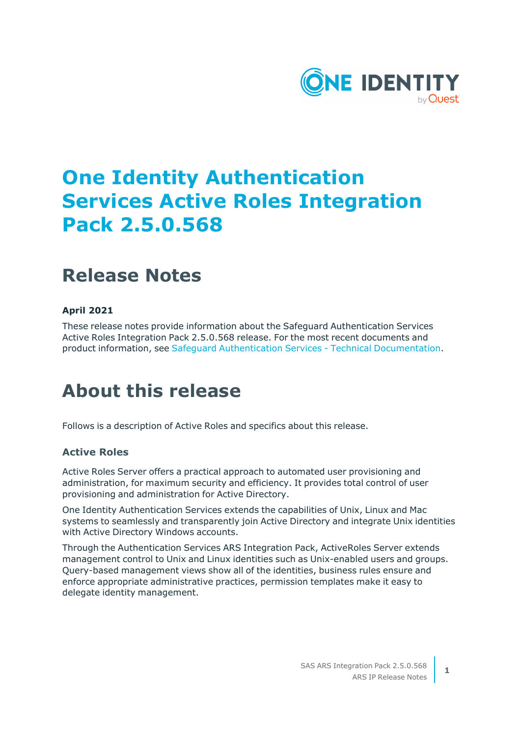

# **One Identity Authentication Services Active Roles Integration Pack 2.5.0.568**

# **Release Notes**

### **April 2021**

These release notes provide information about the Safeguard Authentication Services Active Roles Integration Pack 2.5.0.568 release. For the most recent documents and product information, see Safeguard Authentication Services - Technical [Documentation.](https://support.oneidentity.com/safeguard-authentication-services/technical-documents)

## **About this release**

Follows is a description of Active Roles and specifics about this release.

### **Active Roles**

Active Roles Server offers a practical approach to automated user provisioning and administration, for maximum security and efficiency. It provides total control of user provisioning and administration for Active Directory.

One Identity Authentication Services extends the capabilities of Unix, Linux and Mac systems to seamlessly and transparently join Active Directory and integrate Unix identities with Active Directory Windows accounts.

Through the Authentication Services ARS Integration Pack, ActiveRoles Server extends management control to Unix and Linux identities such as Unix-enabled users and groups. Query-based management views show all of the identities, business rules ensure and enforce appropriate administrative practices, permission templates make it easy to delegate identity management.

**1**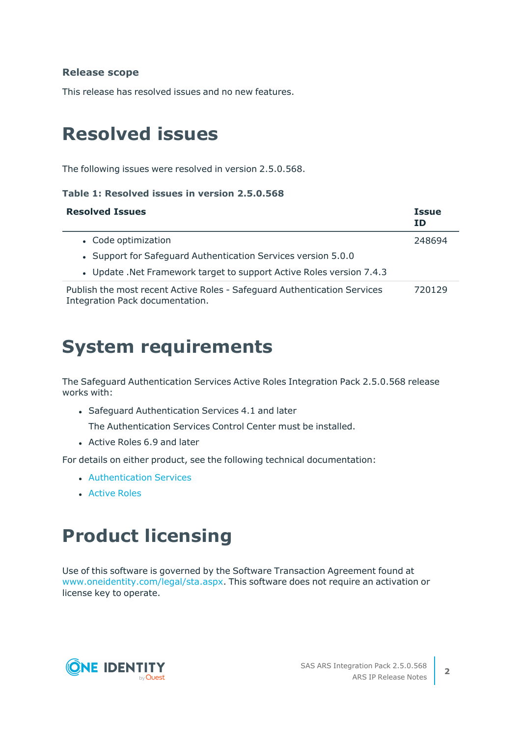### **Release scope**

This release has resolved issues and no new features.

## **Resolved issues**

The following issues were resolved in version 2.5.0.568.

#### **Table 1: Resolved issues in version 2.5.0.568**

| <b>Resolved Issues</b>                                                                                      | <b>Issue</b><br><b>ID</b> |
|-------------------------------------------------------------------------------------------------------------|---------------------------|
| • Code optimization                                                                                         | 248694                    |
| • Support for Safeguard Authentication Services version 5.0.0                                               |                           |
| . Update .Net Framework target to support Active Roles version 7.4.3                                        |                           |
| Publish the most recent Active Roles - Safeguard Authentication Services<br>Integration Pack documentation. | 720129                    |

## **System requirements**

The Safeguard Authentication Services Active Roles Integration Pack 2.5.0.568 release works with:

• Safeguard Authentication Services 4.1 and later

The Authentication Services Control Center must be installed.

• Active Roles 6.9 and later

For details on either product, see the following technical documentation:

- **[Authentication](https://support.oneidentity.com/authentication-services/technical-documents) Services**
- **[Active](https://support.oneidentity.com/active-roles/technical-documents) Roles**

## **Product licensing**

Use of this software is governed by the Software Transaction Agreement found at [www.oneidentity.com/legal/sta.aspx](http://www.oneidentity.com/legal/sta.aspx). This software does not require an activation or license key to operate.

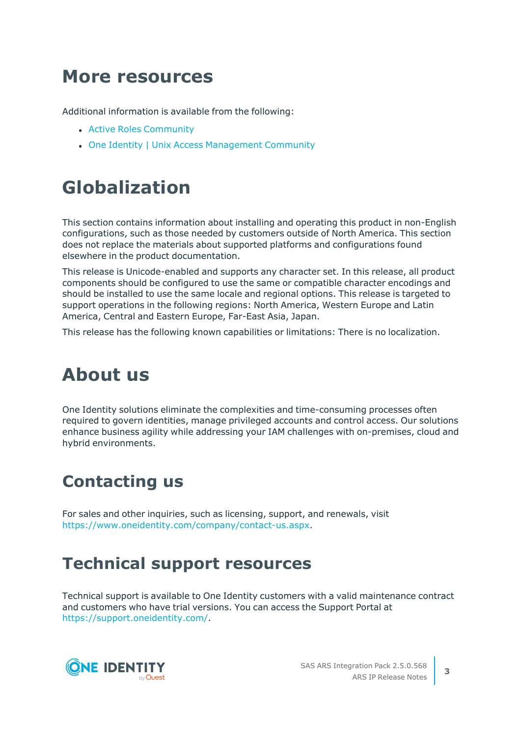## **More resources**

Additional information is available from the following:

- **Active Roles [Community](https://www.oneidentity.com/community/active-roles/)**
- One Identity | Unix Access [Management](https://www.oneidentity.com/community/unix-access-management/) Community

# **Globalization**

This section contains information about installing and operating this product in non-English configurations, such as those needed by customers outside of North America. This section does not replace the materials about supported platforms and configurations found elsewhere in the product documentation.

This release is Unicode-enabled and supports any character set. In this release, all product components should be configured to use the same or compatible character encodings and should be installed to use the same locale and regional options. This release is targeted to support operations in the following regions: North America, Western Europe and Latin America, Central and Eastern Europe, Far-East Asia, Japan.

This release has the following known capabilities or limitations: There is no localization.

# **About us**

One Identity solutions eliminate the complexities and time-consuming processes often required to govern identities, manage privileged accounts and control access. Our solutions enhance business agility while addressing your IAM challenges with on-premises, cloud and hybrid environments.

### **Contacting us**

For sales and other inquiries, such as licensing, support, and renewals, visit [https://www.oneidentity.com/company/contact-us.aspx.](https://www.oneidentity.com/company/contact-us.aspx)

### **Technical support resources**

Technical support is available to One Identity customers with a valid maintenance contract and customers who have trial versions. You can access the Support Portal at [https://support.oneidentity.com/.](https://support.oneidentity.com/)



**3**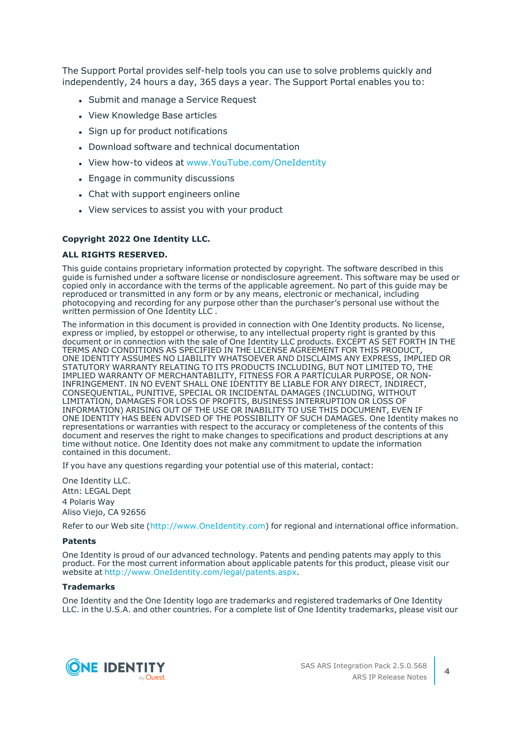The Support Portal provides self-help tools you can use to solve problems quickly and independently, 24 hours a day, 365 days a year. The Support Portal enables you to:

- Submit and manage a Service Request
- View Knowledge Base articles
- Sign up for product notifications
- Download software and technical documentation
- View how-to videos at [www.YouTube.com/OneIdentity](http://www.youtube.com/OneIdentity)
- Engage in community discussions
- Chat with support engineers online
- View services to assist you with your product

#### **Copyright 2022 One Identity LLC.**

#### **ALL RIGHTS RESERVED.**

This guide contains proprietary information protected by copyright. The software described in this guide is furnished under a software license or nondisclosure agreement. This software may be used or copied only in accordance with the terms of the applicable agreement. No part of this guide may be reproduced or transmitted in any form or by any means, electronic or mechanical, including photocopying and recording for any purpose other than the purchaser's personal use without the written permission of One Identity LLC .

The information in this document is provided in connection with One Identity products. No license, express or implied, by estoppel or otherwise, to any intellectual property right is granted by this document or in connection with the sale of One Identity LLC products. EXCEPT AS SET FORTH IN THE TERMS AND CONDITIONS AS SPECIFIED IN THE LICENSE AGREEMENT FOR THIS PRODUCT, ONE IDENTITY ASSUMES NO LIABILITY WHATSOEVER AND DISCLAIMS ANY EXPRESS, IMPLIED OR STATUTORY WARRANTY RELATING TO ITS PRODUCTS INCLUDING, BUT NOT LIMITED TO, THE IMPLIED WARRANTY OF MERCHANTABILITY, FITNESS FOR A PARTICULAR PURPOSE, OR NON-INFRINGEMENT. IN NO EVENT SHALL ONE IDENTITY BE LIABLE FOR ANY DIRECT, INDIRECT, CONSEQUENTIAL, PUNITIVE, SPECIAL OR INCIDENTAL DAMAGES (INCLUDING, WITHOUT LIMITATION, DAMAGES FOR LOSS OF PROFITS, BUSINESS INTERRUPTION OR LOSS OF INFORMATION) ARISING OUT OF THE USE OR INABILITY TO USE THIS DOCUMENT, EVEN IF ONE IDENTITY HAS BEEN ADVISED OF THE POSSIBILITY OF SUCH DAMAGES. One Identity makes no representations or warranties with respect to the accuracy or completeness of the contents of this document and reserves the right to make changes to specifications and product descriptions at any time without notice. One Identity does not make any commitment to update the information contained in this document.

If you have any questions regarding your potential use of this material, contact:

One Identity LLC. Attn: LEGAL Dept 4 Polaris Way Aliso Viejo, CA 92656

Refer to our Web site ([http://www.OneIdentity.com](http://www.oneidentity.com/)) for regional and international office information.

#### **Patents**

One Identity is proud of our advanced technology. Patents and pending patents may apply to this product. For the most current information about applicable patents for this product, please visit our website at [http://www.OneIdentity.com/legal/patents.aspx.](http://www.oneidentity.com/legal/patents.aspx)

#### **Trademarks**

One Identity and the One Identity logo are trademarks and registered trademarks of One Identity LLC. in the U.S.A. and other countries. For a complete list of One Identity trademarks, please visit our



**4**